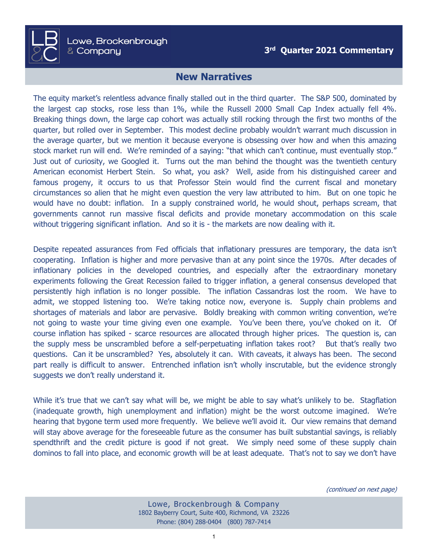## **New Narratives**

The equity market's relentless advance finally stalled out in the third quarter. The S&P 500, dominated by the largest cap stocks, rose less than 1%, while the Russell 2000 Small Cap Index actually fell 4%. Breaking things down, the large cap cohort was actually still rocking through the first two months of the quarter, but rolled over in September. This modest decline probably wouldn't warrant much discussion in the average quarter, but we mention it because everyone is obsessing over how and when this amazing stock market run will end. We're reminded of a saying: "that which can't continue, must eventually stop." Just out of curiosity, we Googled it. Turns out the man behind the thought was the twentieth century American economist Herbert Stein. So what, you ask? Well, aside from his distinguished career and famous progeny, it occurs to us that Professor Stein would find the current fiscal and monetary circumstances so alien that he might even question the very law attributed to him. But on one topic he would have no doubt: inflation. In a supply constrained world, he would shout, perhaps scream, that governments cannot run massive fiscal deficits and provide monetary accommodation on this scale without triggering significant inflation. And so it is - the markets are now dealing with it.

Despite repeated assurances from Fed officials that inflationary pressures are temporary, the data isn't cooperating. Inflation is higher and more pervasive than at any point since the 1970s. After decades of inflationary policies in the developed countries, and especially after the extraordinary monetary experiments following the Great Recession failed to trigger inflation, a general consensus developed that persistently high inflation is no longer possible. The inflation Cassandras lost the room. We have to admit, we stopped listening too. We're taking notice now, everyone is. Supply chain problems and shortages of materials and labor are pervasive. Boldly breaking with common writing convention, we're not going to waste your time giving even one example. You've been there, you've choked on it. Of course inflation has spiked - scarce resources are allocated through higher prices. The question is, can the supply mess be unscrambled before a self-perpetuating inflation takes root? But that's really two questions. Can it be unscrambled? Yes, absolutely it can. With caveats, it always has been. The second part really is difficult to answer. Entrenched inflation isn't wholly inscrutable, but the evidence strongly suggests we don't really understand it.

While it's true that we can't say what will be, we might be able to say what's unlikely to be. Stagflation (inadequate growth, high unemployment and inflation) might be the worst outcome imagined. We're hearing that bygone term used more frequently. We believe we'll avoid it. Our view remains that demand will stay above average for the foreseeable future as the consumer has built substantial savings, is reliably spendthrift and the credit picture is good if not great. We simply need some of these supply chain dominos to fall into place, and economic growth will be at least adequate. That's not to say we don't have

(continued on next page)

Lowe, Brockenbrough & Company 1802 Bayberry Court, Suite 400, Richmond, VA 23226 Phone: (804) 288-0404 (800) 787-7414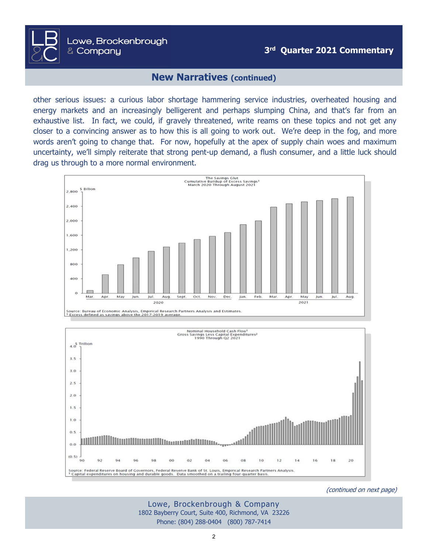## **New Narratives (continued)**

Lowe, Brockenbrough

& Company

other serious issues: a curious labor shortage hammering service industries, overheated housing and energy markets and an increasingly belligerent and perhaps slumping China, and that's far from an exhaustive list. In fact, we could, if gravely threatened, write reams on these topics and not get any closer to a convincing answer as to how this is all going to work out. We're deep in the fog, and more words aren't going to change that. For now, hopefully at the apex of supply chain woes and maximum uncertainty, we'll simply reiterate that strong pent-up demand, a flush consumer, and a little luck should drag us through to a more normal environment.





(continued on next page)

Lowe, Brockenbrough & Company 1802 Bayberry Court, Suite 400, Richmond, VA 23226 Phone: (804) 288-0404 (800) 787-7414